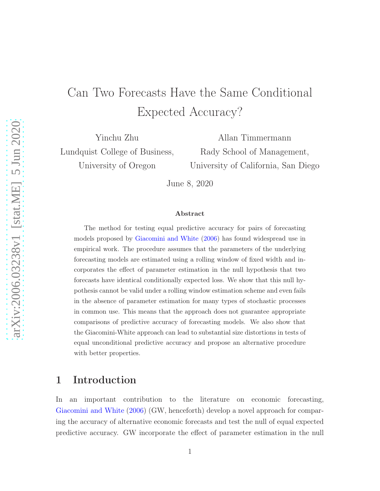# Can Two Forecasts Have the Same Conditional Expected Accuracy?

Yinchu Zhu Lundquist College of Business, University of Oregon

Allan Timmermann Rady School of Management, University of California, San Diego

June 8, 2020

#### Abstract

The method for testing equal predictive accuracy for pairs of forecasting models proposed by [Giacomini and White](#page-21-0) [\(2006\)](#page-21-0) has found widespread use in empirical work. The procedure assumes that the parameters of the underlying forecasting models are estimated using a rolling window of fixed width and incorporates the effect of parameter estimation in the null hypothesis that two forecasts have identical conditionally expected loss. We show that this null hypothesis cannot be valid under a rolling window estimation scheme and even fails in the absence of parameter estimation for many types of stochastic processes in common use. This means that the approach does not guarantee appropriate comparisons of predictive accuracy of forecasting models. We also show that the Giacomini-White approach can lead to substantial size distortions in tests of equal unconditional predictive accuracy and propose an alternative procedure with better properties.

### 1 Introduction

In an important contribution to the literature on economic forecasting, [Giacomini and White](#page-21-0) [\(2006\)](#page-21-0) (GW, henceforth) develop a novel approach for comparing the accuracy of alternative economic forecasts and test the null of equal expected predictive accuracy. GW incorporate the effect of parameter estimation in the null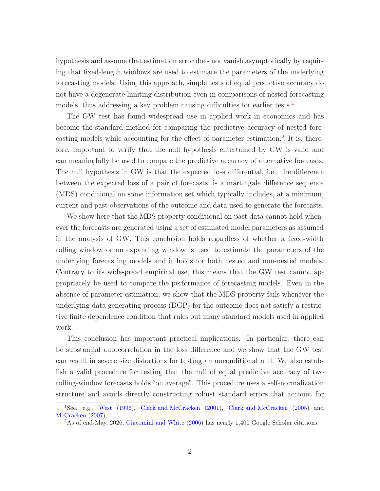hypothesis and assume that estimation error does not vanish asymptotically by requiring that fixed-length windows are used to estimate the parameters of the underlying forecasting models. Using this approach, simple tests of equal predictive accuracy do not have a degenerate limiting distribution even in comparisons of nested forecasting models, thus addressing a key problem causing difficulties for earlier tests.<sup>[1](#page-1-0)</sup>

The GW test has found widespread use in applied work in economics and has become the standard method for comparing the predictive accuracy of nested fore-casting models while accounting for the effect of parameter estimation.<sup>[2](#page-1-1)</sup> It is, therefore, important to verify that the null hypothesis entertained by GW is valid and can meaningfully be used to compare the predictive accuracy of alternative forecasts. The null hypothesis in GW is that the expected loss differential, i.e., the difference between the expected loss of a pair of forecasts, is a martingale difference sequence (MDS) conditional on some information set which typically includes, at a minimum, current and past observations of the outcome and data used to generate the forecasts.

We show here that the MDS property conditional on past data cannot hold whenever the forecasts are generated using a set of estimated model parameters as assumed in the analysis of GW. This conclusion holds regardless of whether a fixed-width rolling window or an expanding window is used to estimate the parameters of the underlying forecasting models and it holds for both nested and non-nested models. Contrary to its widespread empirical use, this means that the GW test cannot appropriately be used to compare the performance of forecasting models. Even in the absence of parameter estimation, we show that the MDS property fails whenever the underlying data generating process (DGP) for the outcome does not satisfy a restrictive finite dependence condition that rules out many standard models used in applied work.

This conclusion has important practical implications. In particular, there can be substantial autocorrelation in the loss difference and we show that the GW test can result in severe size distortions for testing an unconditional null. We also establish a valid procedure for testing that the null of equal predictive accuracy of two rolling-window forecasts holds "on average". This procedure uses a self-normalization structure and avoids directly constructing robust standard errors that account for

<sup>1</sup>See, e.g., [West](#page-21-1) [\(1996\)](#page-21-1), [Clark and McCracken](#page-20-0) [\(2001\)](#page-20-0), [Clark and McCracken](#page-20-1) [\(2005\)](#page-20-1) and [McCracken](#page-21-2) [\(2007\)](#page-21-2).

<span id="page-1-1"></span><span id="page-1-0"></span><sup>&</sup>lt;sup>2</sup>As of end-May, 2020, [Giacomini and White](#page-21-0) [\(2006](#page-21-0)) has nearly 1,400 Google Scholar citations.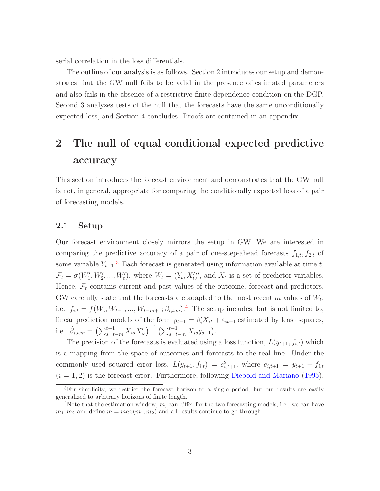serial correlation in the loss differentials.

The outline of our analysis is as follows. Section 2 introduces our setup and demonstrates that the GW null fails to be valid in the presence of estimated parameters and also fails in the absence of a restrictive finite dependence condition on the DGP. Second 3 analyzes tests of the null that the forecasts have the same unconditionally expected loss, and Section 4 concludes. Proofs are contained in an appendix.

## 2 The null of equal conditional expected predictive accuracy

This section introduces the forecast environment and demonstrates that the GW null is not, in general, appropriate for comparing the conditionally expected loss of a pair of forecasting models.

### 2.1 Setup

Our forecast environment closely mirrors the setup in GW. We are interested in comparing the predictive accuracy of a pair of one-step-ahead forecasts  $f_{1,t}$ ,  $f_{2,t}$  of some variable  $Y_{t+1}$ <sup>[3](#page-2-0)</sup>. Each forecast is generated using information available at time t,  $\mathcal{F}_t = \sigma(W'_1, W'_2, ..., W'_t)$ , where  $W_t = (Y_t, X'_t)'$ , and  $X_t$  is a set of predictor variables. Hence,  $\mathcal{F}_t$  contains current and past values of the outcome, forecast and predictors. GW carefully state that the forecasts are adapted to the most recent  $m$  values of  $W_t$ , i.e.,  $f_{i,t} = f(W_t, W_{t-1}, ..., W_{t-m+1}; \hat{\beta}_{i,t,m})$ .<sup>[4](#page-2-1)</sup> The setup includes, but is not limited to, linear prediction models of the form  $y_{t+1} = \beta_i' X_{it} + \varepsilon_{it+1}$ , estimated by least squares, i.e.,  $\hat{\beta}_{i,t,m} = \left(\sum_{s=t-m}^{t-1} X_{is} X'_{is}\right)^{-1} \left(\sum_{s=t-m}^{t-1} X_{is} y_{s+1}\right).$ 

The precision of the forecasts is evaluated using a loss function,  $L(y_{t+1}, f_{i,t})$  which is a mapping from the space of outcomes and forecasts to the real line. Under the commonly used squared error loss,  $L(y_{t+1}, f_{i,t}) = e_{i,t+1}^2$ , where  $e_{i,t+1} = y_{t+1} - f_{i,t}$  $(i = 1, 2)$  is the forecast error. Furthermore, following [Diebold and Mariano](#page-20-2) [\(1995](#page-20-2)),

<span id="page-2-0"></span><sup>&</sup>lt;sup>3</sup>For simplicity, we restrict the forecast horizon to a single period, but our results are easily generalized to arbitrary horizons of finite length.

<span id="page-2-1"></span><sup>&</sup>lt;sup>4</sup>Note that the estimation window,  $m$ , can differ for the two forecasting models, i.e., we can have  $m_1, m_2$  and define  $m = max(m_1, m_2)$  and all results continue to go through.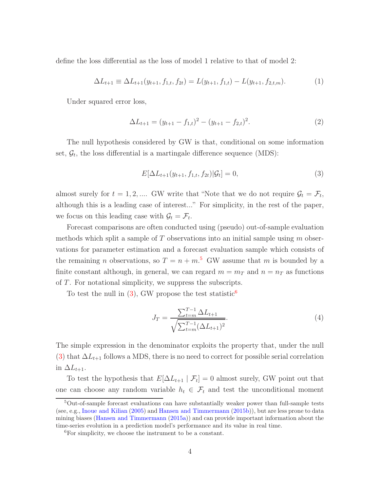define the loss differential as the loss of model 1 relative to that of model 2:

$$
\Delta L_{t+1} \equiv \Delta L_{t+1}(y_{t+1}, f_{1,t}, f_{2t}) = L(y_{t+1}, f_{1,t}) - L(y_{t+1}, f_{2,t,m}). \tag{1}
$$

Under squared error loss,

<span id="page-3-3"></span>
$$
\Delta L_{t+1} = (y_{t+1} - f_{1,t})^2 - (y_{t+1} - f_{2,t})^2.
$$
\n(2)

The null hypothesis considered by GW is that, conditional on some information set,  $\mathcal{G}_t$ , the loss differential is a martingale difference sequence (MDS):

<span id="page-3-1"></span>
$$
E[\Delta L_{t+1}(y_{t+1}, f_{1,t}, f_{2t}) | \mathcal{G}_t] = 0,
$$
\n(3)

almost surely for  $t = 1, 2, ...$  GW write that "Note that we do not require  $\mathcal{G}_t = \mathcal{F}_t$ , although this is a leading case of interest..." For simplicity, in the rest of the paper, we focus on this leading case with  $\mathcal{G}_t = \mathcal{F}_t$ .

Forecast comparisons are often conducted using (pseudo) out-of-sample evaluation methods which split a sample of  $T$  observations into an initial sample using  $m$  observations for parameter estimation and a forecast evaluation sample which consists of the remaining *n* observations, so  $T = n + m$ <sup>[5](#page-3-0)</sup> GW assume that *m* is bounded by a finite constant although, in general, we can regard  $m = m_T$  and  $n = n_T$  as functions of T. For notational simplicity, we suppress the subscripts.

To test the null in  $(3)$ , GW propose the test statistic<sup>[6](#page-3-2)</sup>

<span id="page-3-4"></span>
$$
J_T = \frac{\sum_{t=m}^{T-1} \Delta L_{t+1}}{\sqrt{\sum_{t=m}^{T-1} (\Delta L_{t+1})^2}}.
$$
\n(4)

The simple expression in the denominator exploits the property that, under the null [\(3\)](#page-3-1) that  $\Delta L_{t+1}$  follows a MDS, there is no need to correct for possible serial correlation in  $\Delta L_{t+1}$ .

To test the hypothesis that  $E[\Delta L_{t+1} | \mathcal{F}_t] = 0$  almost surely, GW point out that one can choose any random variable  $h_t \in \mathcal{F}_t$  and test the unconditional moment

<span id="page-3-0"></span> $5$ Out-of-sample forecast evaluations can have substantially weaker power than full-sample tests (see, e.g., [Inoue and Kilian](#page-21-3) [\(2005\)](#page-21-3) and [Hansen and Timmermann](#page-21-4) [\(2015b\)](#page-21-4)), but are less prone to data mining biases [\(Hansen and Timmermann](#page-21-5) [\(2015a\)](#page-21-5)) and can provide important information about the time-series evolution in a prediction model's performance and its value in real time.

<span id="page-3-2"></span><sup>6</sup>For simplicity, we choose the instrument to be a constant.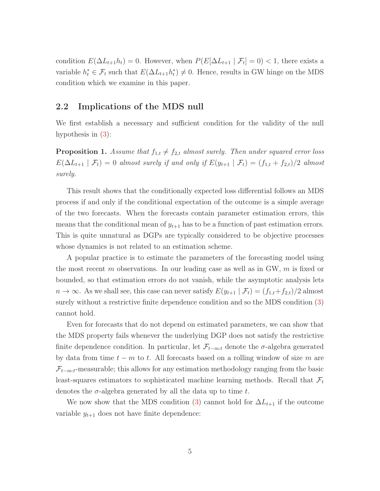condition  $E(\Delta L_{t+1}h_t) = 0$ . However, when  $P(E[\Delta L_{t+1} | \mathcal{F}_t] = 0) < 1$ , there exists a variable  $h_t^* \in \mathcal{F}_t$  such that  $E(\Delta L_{t+1} h_t^*) \neq 0$ . Hence, results in GW hinge on the MDS condition which we examine in this paper.

### 2.2 Implications of the MDS null

We first establish a necessary and sufficient condition for the validity of the null hypothesis in [\(3\)](#page-3-1):

<span id="page-4-0"></span>**Proposition 1.** Assume that  $f_{1,t} \neq f_{2,t}$  almost surely. Then under squared error loss  $E(\Delta L_{t+1} | \mathcal{F}_t) = 0$  almost surely if and only if  $E(y_{t+1} | \mathcal{F}_t) = (f_{1,t} + f_{2,t})/2$  almost surely.

This result shows that the conditionally expected loss differential follows an MDS process if and only if the conditional expectation of the outcome is a simple average of the two forecasts. When the forecasts contain parameter estimation errors, this means that the conditional mean of  $y_{t+1}$  has to be a function of past estimation errors. This is quite unnatural as DGPs are typically considered to be objective processes whose dynamics is not related to an estimation scheme.

A popular practice is to estimate the parameters of the forecasting model using the most recent m observations. In our leading case as well as in GW,  $m$  is fixed or bounded, so that estimation errors do not vanish, while the asymptotic analysis lets  $n \to \infty$ . As we shall see, this case can never satisfy  $E(y_{t+1} | \mathcal{F}_t) = (f_{1,t} + f_{2,t})/2$  almost surely without a restrictive finite dependence condition and so the MDS condition [\(3\)](#page-3-1) cannot hold.

Even for forecasts that do not depend on estimated parameters, we can show that the MDS property fails whenever the underlying DGP does not satisfy the restrictive finite dependence condition. In particular, let  $\mathcal{F}_{t-m:t}$  denote the  $\sigma$ -algebra generated by data from time  $t - m$  to t. All forecasts based on a rolling window of size m are  $\mathcal{F}_{t-m:t}$ -measurable; this allows for any estimation methodology ranging from the basic least-squares estimators to sophisticated machine learning methods. Recall that  $\mathcal{F}_t$ denotes the  $\sigma$ -algebra generated by all the data up to time t.

We now show that the MDS condition [\(3\)](#page-3-1) cannot hold for  $\Delta L_{t+1}$  if the outcome variable  $y_{t+1}$  does not have finite dependence: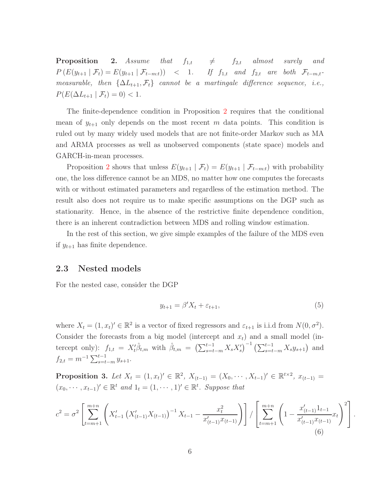<span id="page-5-0"></span>**Proposition** 2. Assume that  $f_{1,t}$   $\neq$   $f_{2,t}$  almost surely and  $P\left(E(y_{t+1} | \mathcal{F}_t) = E(y_{t+1} | \mathcal{F}_{t-m:t})\right)$  < 1. If  $f_{1,t}$  and  $f_{2,t}$  are both  $\mathcal{F}_{t-m,t}$ measurable, then  $\{\Delta L_{t+1}, \mathcal{F}_t\}$  cannot be a martingale difference sequence, i.e.,  $P(E(\Delta L_{t+1} | \mathcal{F}_t) = 0) < 1.$ 

The finite-dependence condition in Proposition [2](#page-5-0) requires that the conditional mean of  $y_{t+1}$  only depends on the most recent m data points. This condition is ruled out by many widely used models that are not finite-order Markov such as MA and ARMA processes as well as unobserved components (state space) models and GARCH-in-mean processes.

Proposition [2](#page-5-0) shows that unless  $E(y_{t+1} | \mathcal{F}_t) = E(y_{t+1} | \mathcal{F}_{t-m:t})$  with probability one, the loss difference cannot be an MDS, no matter how one computes the forecasts with or without estimated parameters and regardless of the estimation method. The result also does not require us to make specific assumptions on the DGP such as stationarity. Hence, in the absence of the restrictive finite dependence condition, there is an inherent contradiction between MDS and rolling window estimation.

In the rest of this section, we give simple examples of the failure of the MDS even if  $y_{t+1}$  has finite dependence.

### 2.3 Nested models

For the nested case, consider the DGP

$$
y_{t+1} = \beta' X_t + \varepsilon_{t+1},\tag{5}
$$

where  $X_t = (1, x_t)' \in \mathbb{R}^2$  is a vector of fixed regressors and  $\varepsilon_{t+1}$  is i.i.d from  $N(0, \sigma^2)$ . Consider the forecasts from a big model (intercept and  $x_t$ ) and a small model (intercept only):  $f_{1,t} = X'_t \hat{\beta}_{t,m}$  with  $\hat{\beta}_{t,m} = (\sum_{s=t-m}^{t-1} X_s X'_s)^{-1} (\sum_{s=t-m}^{t-1} X_s y_{s+1})$  and  $f_{2,t} = m^{-1} \sum_{s=t-m}^{t-1} y_{s+1}.$ 

<span id="page-5-1"></span>**Proposition 3.** Let  $X_t = (1, x_t)' \in \mathbb{R}^2$ ,  $X_{(t-1)} = (X_0, \dots, X_{t-1})' \in \mathbb{R}^{t \times 2}$ ,  $x_{(t-1)} =$  $(x_0, \dots, x_{t-1})' \in \mathbb{R}^t$  and  $1_t = (1, \dots, 1)' \in \mathbb{R}^t$ . Suppose that

$$
c^{2} = \sigma^{2} \left[ \sum_{t=m+1}^{m+n} \left( X'_{t-1} \left( X'_{(t-1)} X_{(t-1)} \right)^{-1} X_{t-1} - \frac{x_{t}^{2}}{x'_{(t-1)} x_{(t-1)}} \right) \right] / \left[ \sum_{t=m+1}^{m+n} \left( 1 - \frac{x'_{(t-1)} 1_{t-1}}{x'_{(t-1)} x_{(t-1)}} x_{t} \right)^{2} \right].
$$
\n(6)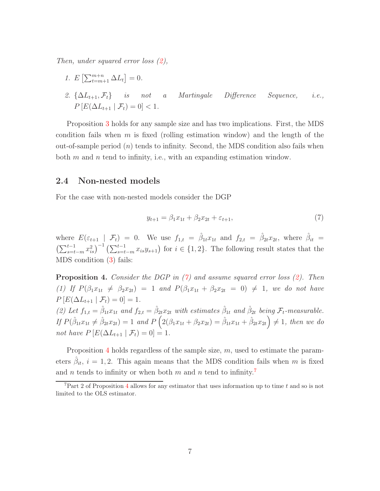Then, under squared error loss [\(2\)](#page-3-3),

\n- 1. 
$$
E\left[\sum_{t=m+1}^{m+n} \Delta L_t\right] = 0.
$$
\n- 2.  $\{\Delta L_{t+1}, \mathcal{F}_t\}$  is not a Martingale Difference Sequence, i.e.,  $P\left[E(\Delta L_{t+1} | \mathcal{F}_t) = 0\right] < 1.$
\n

Proposition [3](#page-5-1) holds for any sample size and has two implications. First, the MDS condition fails when m is fixed (rolling estimation window) and the length of the out-of-sample period  $(n)$  tends to infinity. Second, the MDS condition also fails when both  $m$  and  $n$  tend to infinity, i.e., with an expanding estimation window.

### 2.4 Non-nested models

For the case with non-nested models consider the DGP

<span id="page-6-0"></span>
$$
y_{t+1} = \beta_1 x_{1t} + \beta_2 x_{2t} + \varepsilon_{t+1},\tag{7}
$$

where  $E(\varepsilon_{t+1} \mid \mathcal{F}_t) = 0$ . We use  $f_{1,t} = \hat{\beta}_{1t} x_{1t}$  and  $f_{2,t} = \hat{\beta}_{2t} x_{2t}$ , where  $\hat{\beta}_{it} =$  $\left(\sum_{s=t-m}^{t-1} x_{is}^2\right)^{-1} \left(\sum_{s=t-m}^{t-1} x_{is} y_{s+1}\right)$  for  $i \in \{1,2\}$ . The following result states that the MDS condition [\(3\)](#page-3-1) fails:

<span id="page-6-1"></span>**Proposition 4.** Consider the DGP in  $(7)$  and assume squared error loss  $(2)$ . Then (1) If  $P(\beta_1x_{1t} \neq \beta_2x_{2t}) = 1$  and  $P(\beta_1x_{1t} + \beta_2x_{2t} = 0) \neq 1$ , we do not have  $P [E(\Delta L_{t+1} | \mathcal{F}_t) = 0] = 1.$ (2) Let  $f_{1,t} = \hat{\beta}_{1t} x_{1t}$  and  $f_{2,t} = \hat{\beta}_{2t} x_{2t}$  with estimates  $\hat{\beta}_{1t}$  and  $\hat{\beta}_{2t}$  being  $\mathcal{F}_t$ -measurable.

If  $P(\hat{\beta}_{1t}x_{1t} \neq \hat{\beta}_{2t}x_{2t}) = 1$  and  $P\left(2(\beta_1x_{1t} + \beta_2x_{2t}) = \hat{\beta}_{1t}x_{1t} + \hat{\beta}_{2t}x_{2t}\right) \neq 1$ , then we do not have  $P\left[E(\Delta L_{t+1} \mid \mathcal{F}_t) = 0\right] = 1.$ 

Proposition [4](#page-6-1) holds regardless of the sample size,  $m$ , used to estimate the parameters  $\hat{\beta}_{it}$ ,  $i = 1, 2$ . This again means that the MDS condition fails when m is fixed and n tends to infinity or when both  $m$  and  $n$  tend to infinity.<sup>[7](#page-6-2)</sup>

<span id="page-6-2"></span><sup>&</sup>lt;sup>7</sup>Part 2 of Proposition [4](#page-6-1) allows for any estimator that uses information up to time t and so is not limited to the OLS estimator.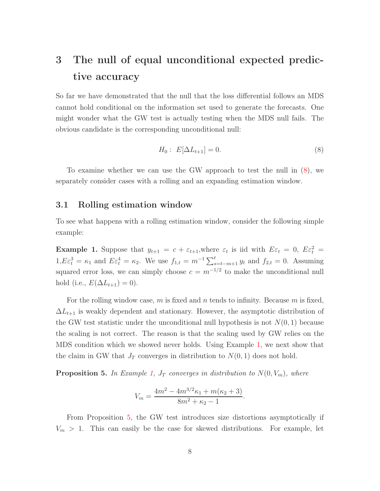## 3 The null of equal unconditional expected predictive accuracy

So far we have demonstrated that the null that the loss differential follows an MDS cannot hold conditional on the information set used to generate the forecasts. One might wonder what the GW test is actually testing when the MDS null fails. The obvious candidate is the corresponding unconditional null:

<span id="page-7-0"></span>
$$
H_0: E[\Delta L_{t+1}] = 0.
$$
\n(8)

To examine whether we can use the GW approach to test the null in [\(8\)](#page-7-0), we separately consider cases with a rolling and an expanding estimation window.

### <span id="page-7-3"></span>3.1 Rolling estimation window

To see what happens with a rolling estimation window, consider the following simple example:

<span id="page-7-1"></span>**Example 1.** Suppose that  $y_{t+1} = c + \varepsilon_{t+1}$ , where  $\varepsilon_t$  is iid with  $E\varepsilon_t = 0$ ,  $E\varepsilon_t^2 =$  $1, E\varepsilon_t^3 = \kappa_1$  and  $E\varepsilon_t^4 = \kappa_2$ . We use  $f_{1,t} = m^{-1} \sum_{s=t-m+1}^t y_t$  and  $f_{2,t} = 0$ . Assuming squared error loss, we can simply choose  $c = m^{-1/2}$  to make the unconditional null hold (i.e.,  $E(\Delta L_{t+1}) = 0$ ).

For the rolling window case, m is fixed and n tends to infinity. Because m is fixed,  $\Delta L_{t+1}$  is weakly dependent and stationary. However, the asymptotic distribution of the GW test statistic under the unconditional null hypothesis is not  $N(0, 1)$  because the scaling is not correct. The reason is that the scaling used by GW relies on the MDS condition which we showed never holds. Using Example [1,](#page-7-1) we next show that the claim in GW that  $J_T$  converges in distribution to  $N(0, 1)$  does not hold.

<span id="page-7-2"></span>**Proposition 5.** In Example [1,](#page-7-1)  $J_T$  converges in distribution to  $N(0, V_m)$ , where

$$
V_m = \frac{4m^2 - 4m^{3/2}\kappa_1 + m(\kappa_2 + 3)}{8m^2 + \kappa_2 - 1}.
$$

From Proposition [5,](#page-7-2) the GW test introduces size distortions asymptotically if  $V_m > 1$ . This can easily be the case for skewed distributions. For example, let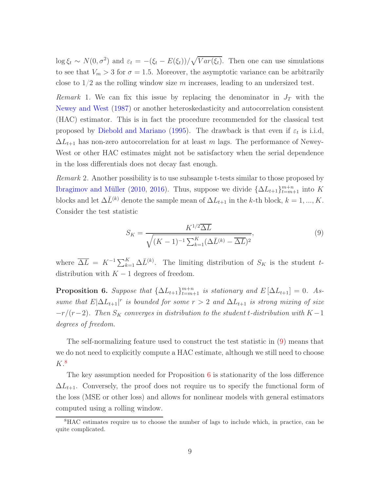$\log \xi_t \sim N(0, \sigma^2)$  and  $\varepsilon_t = -(\xi_t - E(\xi_t))/\sqrt{Var(\xi_t)}$ . Then one can use simulations to see that  $V_m > 3$  for  $\sigma = 1.5$ . Moreover, the asymptotic variance can be arbitrarily close to  $1/2$  as the rolling window size m increases, leading to an undersized test.

Remark 1. We can fix this issue by replacing the denominator in  $J_T$  with the [Newey and West](#page-21-6) [\(1987](#page-21-6)) or another heteroskedasticity and autocorrelation consistent (HAC) estimator. This is in fact the procedure recommended for the classical test proposed by [Diebold and Mariano](#page-20-2) [\(1995\)](#page-20-2). The drawback is that even if  $\varepsilon_t$  is i.i.d,  $\Delta L_{t+1}$  has non-zero autocorrelation for at least m lags. The performance of Newey-West or other HAC estimates might not be satisfactory when the serial dependence in the loss differentials does not decay fast enough.

Remark 2. Another possibility is to use subsample t-tests similar to those proposed by [Ibragimov and Müller](#page-21-7) [\(2010](#page-21-7), [2016](#page-21-8)). Thus, suppose we divide  $\{\Delta L_{t+1}\}_{t=m+1}^{m+n}$  into K blocks and let  $\Delta \bar{L}^{(k)}$  denote the sample mean of  $\Delta L_{t+1}$  in the k-th block,  $k = 1, ..., K$ . Consider the test statistic

<span id="page-8-0"></span>
$$
S_K = \frac{K^{1/2} \overline{\Delta L}}{\sqrt{(K-1)^{-1} \sum_{k=1}^{K} (\Delta \bar{L}^{(k)} - \overline{\Delta L})^2}},
$$
\n(9)

where  $\overline{\Delta L} = K^{-1} \sum_{k=1}^{K} \Delta \overline{L}^{(k)}$ . The limiting distribution of  $S_K$  is the student tdistribution with  $K - 1$  degrees of freedom.

<span id="page-8-2"></span>**Proposition 6.** Suppose that  $\{\Delta L_{t+1}\}_{t=m+1}^{m+n}$  is stationary and  $E[\Delta L_{t+1}] = 0$ . Assume that  $E|\Delta L_{t+1}|^r$  is bounded for some  $r > 2$  and  $\Delta L_{t+1}$  is strong mixing of size  $-r/(r-2)$ . Then  $S_K$  converges in distribution to the student t-distribution with K – 1 degrees of freedom.

The self-normalizing feature used to construct the test statistic in [\(9\)](#page-8-0) means that we do not need to explicitly compute a HAC estimate, although we still need to choose  $K<sup>8</sup>$  $K<sup>8</sup>$  $K<sup>8</sup>$ 

The key assumption needed for Proposition [6](#page-8-2) is stationarity of the loss difference  $\Delta L_{t+1}$ . Conversely, the proof does not require us to specify the functional form of the loss (MSE or other loss) and allows for nonlinear models with general estimators computed using a rolling window.

<span id="page-8-1"></span><sup>8</sup>HAC estimates require us to choose the number of lags to include which, in practice, can be quite complicated.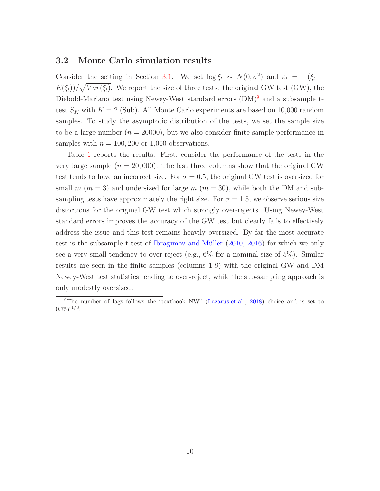### 3.2 Monte Carlo simulation results

Consider the setting in Section [3.1.](#page-7-3) We set  $\log \xi_t \sim N(0, \sigma^2)$  and  $\varepsilon_t = -(\xi_t - \xi_t)$  $E(\xi_t)/\sqrt{Var(\xi_t)}$ . We report the size of three tests: the original GW test (GW), the Diebold-Mariano test using Newey-West standard errors  $(DM)^9$  $(DM)^9$  and a subsample ttest  $S_K$  with  $K = 2$  (Sub). All Monte Carlo experiments are based on 10,000 random samples. To study the asymptotic distribution of the tests, we set the sample size to be a large number  $(n = 20000)$ , but we also consider finite-sample performance in samples with  $n = 100, 200$  or 1,000 observations.

Table [1](#page-10-0) reports the results. First, consider the performance of the tests in the very large sample  $(n = 20,000)$ . The last three columns show that the original GW test tends to have an incorrect size. For  $\sigma = 0.5$ , the original GW test is oversized for small m  $(m = 3)$  and undersized for large m  $(m = 30)$ , while both the DM and subsampling tests have approximately the right size. For  $\sigma = 1.5$ , we observe serious size distortions for the original GW test which strongly over-rejects. Using Newey-West standard errors improves the accuracy of the GW test but clearly fails to effectively address the issue and this test remains heavily oversized. By far the most accurate test is the subsample t-test of [Ibragimov and Müller](#page-21-7) [\(2010,](#page-21-7) [2016](#page-21-8)) for which we only see a very small tendency to over-reject (e.g., 6% for a nominal size of 5%). Similar results are seen in the finite samples (columns 1-9) with the original GW and DM Newey-West test statistics tending to over-reject, while the sub-sampling approach is only modestly oversized.

<span id="page-9-0"></span><sup>&</sup>lt;sup>9</sup>The number of lags follows the "textbook NW" [\(Lazarus et al.](#page-21-9), [2018\)](#page-21-9) choice and is set to  $0.75T^{1/3}.$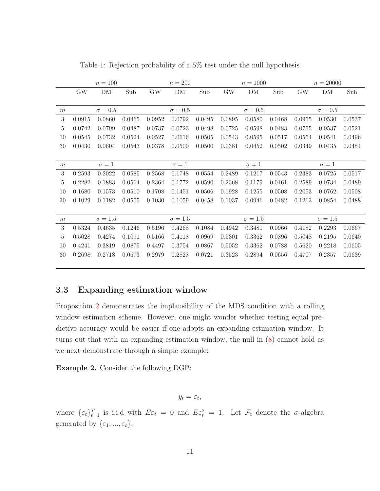|        |                | $n = 100$    |        | $n = 200$      |            |        | $n = 1000$     |            |        | $n = 20000$    |            |        |
|--------|----------------|--------------|--------|----------------|------------|--------|----------------|------------|--------|----------------|------------|--------|
|        | <b>GW</b>      | DM           | Sub    | <b>GW</b>      | DM         | Sub    | GW             | DM         | Sub    | <b>GW</b>      | DM         | Sub    |
|        |                |              |        |                |            |        |                |            |        |                |            |        |
| m      | $\sigma=0.5$   |              |        | $\sigma = 0.5$ |            |        | $\sigma = 0.5$ |            |        | $\sigma = 0.5$ |            |        |
| 3      | 0.0915         | 0.0860       | 0.0465 | 0.0952         | 0.0792     | 0.0495 | 0.0895         | 0.0580     | 0.0468 | 0.0955         | 0.0530     | 0.0537 |
| 5      | 0.0742         | 0.0799       | 0.0487 | 0.0737         | 0.0723     | 0.0498 | 0.0725         | 0.0598     | 0.0483 | 0.0755         | 0.0537     | 0.0521 |
| 10     | 0.0545         | 0.0732       | 0.0524 | 0.0527         | 0.0616     | 0.0505 | 0.0543         | 0.0595     | 0.0517 | 0.0554         | 0.0541     | 0.0496 |
| 30     | 0.0430         | 0.0604       | 0.0543 | 0.0378         | 0.0500     | 0.0500 | 0.0381         | 0.0452     | 0.0502 | 0.0349         | 0.0435     | 0.0484 |
|        |                |              |        |                |            |        |                |            |        |                |            |        |
| m      |                | $\sigma = 1$ |        |                | $\sigma=1$ |        |                | $\sigma=1$ |        |                | $\sigma=1$ |        |
| 3      | 0.2593         | 0.2022       | 0.0585 | 0.2568         | 0.1748     | 0.0554 | 0.2489         | 0.1217     | 0.0543 | 0.2383         | 0.0725     | 0.0517 |
| 5      | 0.2282         | 0.1883       | 0.0564 | 0.2364         | 0.1772     | 0.0590 | 0.2368         | 0.1179     | 0.0461 | 0.2589         | 0.0734     | 0.0489 |
| 10     | 0.1680         | 0.1573       | 0.0510 | 0.1708         | 0.1451     | 0.0506 | 0.1928         | 0.1255     | 0.0508 | 0.2053         | 0.0762     | 0.0508 |
| $30\,$ | 0.1029         | 0.1182       | 0.0505 | 0.1030         | 0.1059     | 0.0458 | 0.1037         | 0.0946     | 0.0482 | 0.1213         | 0.0854     | 0.0488 |
|        |                |              |        |                |            |        |                |            |        |                |            |        |
| m      | $\sigma = 1.5$ |              |        | $\sigma = 1.5$ |            |        | $\sigma=1.5$   |            |        | $\sigma = 1.5$ |            |        |
| 3      | 0.5324         | 0.4635       | 0.1246 | 0.5196         | 0.4268     | 0.1084 | 0.4942         | 0.3481     | 0.0966 | 0.4182         | 0.2293     | 0.0667 |
| 5      | 0.5028         | 0.4274       | 0.1091 | 0.5166         | 0.4118     | 0.0969 | 0.5301         | 0.3362     | 0.0896 | 0.5048         | 0.2195     | 0.0640 |
| 10     | 0.4241         | 0.3819       | 0.0875 | 0.4497         | 0.3754     | 0.0867 | 0.5052         | 0.3362     | 0.0788 | 0.5620         | 0.2218     | 0.0605 |
| 30     | 0.2698         | 0.2718       | 0.0673 | 0.2979         | 0.2828     | 0.0721 | 0.3523         | 0.2894     | 0.0656 | 0.4707         | 0.2357     | 0.0639 |
|        |                |              |        |                |            |        |                |            |        |                |            |        |

<span id="page-10-0"></span>Table 1: Rejection probability of a 5% test under the null hypothesis

### 3.3 Expanding estimation window

Proposition [2](#page-5-0) demonstrates the implausibility of the MDS condition with a rolling window estimation scheme. However, one might wonder whether testing equal predictive accuracy would be easier if one adopts an expanding estimation window. It turns out that with an expanding estimation window, the null in [\(8\)](#page-7-0) cannot hold as we next demonstrate through a simple example:

<span id="page-10-1"></span>Example 2. Consider the following DGP:

$$
y_t = \varepsilon_t,
$$

where  $\{\varepsilon_t\}_{t=1}^T$  is i.i.d with  $E\varepsilon_t = 0$  and  $E\varepsilon_t^2 = 1$ . Let  $\mathcal{F}_t$  denote the  $\sigma$ -algebra generated by  $\{\varepsilon_1,...,\varepsilon_t\}.$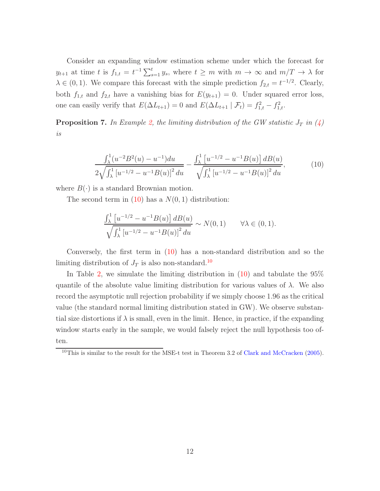Consider an expanding window estimation scheme under which the forecast for  $y_{t+1}$  at time t is  $f_{1,t} = t^{-1} \sum_{s=1}^t y_s$ , where  $t \geq m$  with  $m \to \infty$  and  $m/T \to \lambda$  for  $\lambda \in (0, 1)$ . We compare this forecast with the simple prediction  $f_{2,t} = t^{-1/2}$ . Clearly, both  $f_{1,t}$  and  $f_{2,t}$  have a vanishing bias for  $E(y_{t+1}) = 0$ . Under squared error loss, one can easily verify that  $E(\Delta L_{t+1}) = 0$  and  $E(\Delta L_{t+1} | \mathcal{F}_t) = f_{1,t}^2 - f_{1,t}^2$ .

<span id="page-11-2"></span>**Proposition 7.** In Example [2,](#page-10-1) the limiting distribution of the GW statistic  $J_T$  in  $(4)$ is

<span id="page-11-0"></span>
$$
\frac{\int_{\lambda}^{1} (u^{-2}B^{2}(u) - u^{-1}) du}{2\sqrt{\int_{\lambda}^{1} \left[u^{-1/2} - u^{-1}B(u)\right]^{2} du}} - \frac{\int_{\lambda}^{1} \left[u^{-1/2} - u^{-1}B(u)\right] dB(u)}{\sqrt{\int_{\lambda}^{1} \left[u^{-1/2} - u^{-1}B(u)\right]^{2} du}},
$$
(10)

where  $B(\cdot)$  is a standard Brownian motion.

The second term in  $(10)$  has a  $N(0, 1)$  distribution:

$$
\frac{\int_{\lambda}^{1} \left[ u^{-1/2} - u^{-1} B(u) \right] d B(u)}{\sqrt{\int_{\lambda}^{1} \left[ u^{-1/2} - u^{-1} B(u) \right]^2 du}} \sim N(0, 1) \qquad \forall \lambda \in (0, 1).
$$

Conversely, the first term in [\(10\)](#page-11-0) has a non-standard distribution and so the limiting distribution of  $J_T$  is also non-standard.<sup>[10](#page-11-1)</sup>

In Table [2,](#page-12-0) we simulate the limiting distribution in [\(10\)](#page-11-0) and tabulate the 95% quantile of the absolute value limiting distribution for various values of  $\lambda$ . We also record the asymptotic null rejection probability if we simply choose 1.96 as the critical value (the standard normal limiting distribution stated in GW). We observe substantial size distortions if  $\lambda$  is small, even in the limit. Hence, in practice, if the expanding window starts early in the sample, we would falsely reject the null hypothesis too often.

<span id="page-11-1"></span><sup>&</sup>lt;sup>10</sup>This is similar to the result for the MSE-t test in Theorem 3.2 of [Clark and McCracken](#page-20-1) [\(2005\)](#page-20-1).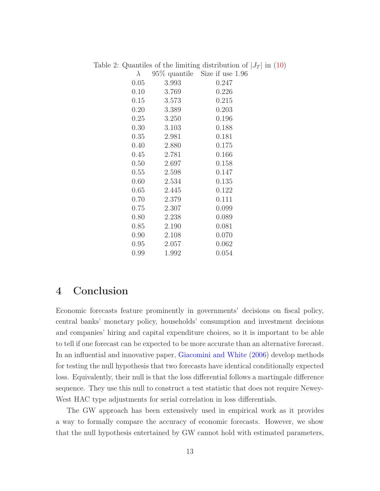<span id="page-12-0"></span>

| $\lambda$ |       | $95\%$ quantile Size if use 1.96 |
|-----------|-------|----------------------------------|
| 0.05      | 3.993 | 0.247                            |
| 0.10      | 3.769 | 0.226                            |
| 0.15      | 3.573 | 0.215                            |
| 0.20      | 3.389 | 0.203                            |
| 0.25      | 3.250 | 0.196                            |
| $0.30\,$  | 3.103 | 0.188                            |
| 0.35      | 2.981 | 0.181                            |
| 0.40      | 2.880 | 0.175                            |
| 0.45      | 2.781 | 0.166                            |
| 0.50      | 2.697 | 0.158                            |
| 0.55      | 2.598 | 0.147                            |
| 0.60      | 2.534 | 0.135                            |
| 0.65      | 2.445 | 0.122                            |
| 0.70      | 2.379 | 0.111                            |
| 0.75      | 2.307 | 0.099                            |
| 0.80      | 2.238 | 0.089                            |
| 0.85      | 2.190 | 0.081                            |
| 0.90      | 2.108 | 0.070                            |
| 0.95      | 2.057 | 0.062                            |
| 0.99      | 1.992 | 0.054                            |

Table 2: Quantiles of the limiting distribution of  $|J_T|$  in [\(10\)](#page-11-0)

## 4 Conclusion

Economic forecasts feature prominently in governments' decisions on fiscal policy, central banks' monetary policy, households' consumption and investment decisions and companies' hiring and capital expenditure choices, so it is important to be able to tell if one forecast can be expected to be more accurate than an alternative forecast. In an influential and innovative paper, [Giacomini and White](#page-21-0) [\(2006](#page-21-0)) develop methods for testing the null hypothesis that two forecasts have identical conditionally expected loss. Equivalently, their null is that the loss differential follows a martingale difference sequence. They use this null to construct a test statistic that does not require Newey-West HAC type adjustments for serial correlation in loss differentials.

The GW approach has been extensively used in empirical work as it provides a way to formally compare the accuracy of economic forecasts. However, we show that the null hypothesis entertained by GW cannot hold with estimated parameters,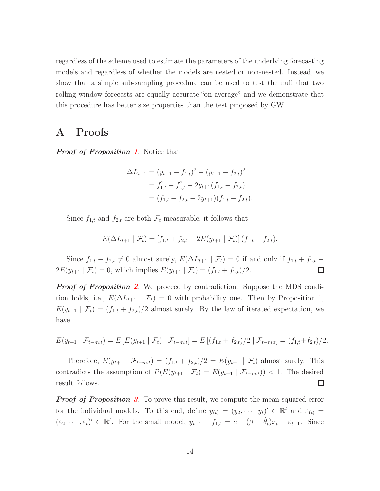regardless of the scheme used to estimate the parameters of the underlying forecasting models and regardless of whether the models are nested or non-nested. Instead, we show that a simple sub-sampling procedure can be used to test the null that two rolling-window forecasts are equally accurate "on average" and we demonstrate that this procedure has better size properties than the test proposed by GW.

### A Proofs

**Proof of Proposition [1](#page-4-0).** Notice that

$$
\Delta L_{t+1} = (y_{t+1} - f_{1,t})^2 - (y_{t+1} - f_{2,t})^2
$$
  
=  $f_{1,t}^2 - f_{2,t}^2 - 2y_{t+1}(f_{1,t} - f_{2,t})$   
=  $(f_{1,t} + f_{2,t} - 2y_{t+1})(f_{1,t} - f_{2,t}).$ 

Since  $f_{1,t}$  and  $f_{2,t}$  are both  $\mathcal{F}_t$ -measurable, it follows that

$$
E(\Delta L_{t+1} | \mathcal{F}_t) = [f_{1,t} + f_{2,t} - 2E(y_{t+1} | \mathcal{F}_t)] (f_{1,t} - f_{2,t}).
$$

Since  $f_{1,t} - f_{2,t} \neq 0$  almost surely,  $E(\Delta L_{t+1} | \mathcal{F}_t) = 0$  if and only if  $f_{1,t} + f_{2,t}$  –  $2E(y_{t+1} | \mathcal{F}_t) = 0$ , which implies  $E(y_{t+1} | \mathcal{F}_t) = (f_{1,t} + f_{2,t})/2$ .  $\Box$ 

**Proof of Proposition [2](#page-5-0).** We proceed by contradiction. Suppose the MDS condition holds, i.e.,  $E(\Delta L_{t+1} | \mathcal{F}_t) = 0$  with probability one. Then by Proposition [1,](#page-4-0)  $E(y_{t+1} | \mathcal{F}_t) = (f_{1,t} + f_{2,t})/2$  almost surely. By the law of iterated expectation, we have

$$
E(y_{t+1} | \mathcal{F}_{t-m:t}) = E\left[E(y_{t+1} | \mathcal{F}_t) | \mathcal{F}_{t-m:t}\right] = E\left[(f_{1,t} + f_{2,t})/2 | \mathcal{F}_{t-m:t}\right] = (f_{1,t} + f_{2,t})/2.
$$

Therefore,  $E(y_{t+1} | \mathcal{F}_{t-m:t}) = (f_{1,t} + f_{2,t})/2 = E(y_{t+1} | \mathcal{F}_t)$  almost surely. This contradicts the assumption of  $P(E(y_{t+1} | \mathcal{F}_t) = E(y_{t+1} | \mathcal{F}_{t-m:t})) < 1$ . The desired result follows.  $\Box$ 

**Proof of Proposition [3](#page-5-1).** To prove this result, we compute the mean squared error for the individual models. To this end, define  $y_{(t)} = (y_2, \dots, y_t)' \in \mathbb{R}^t$  and  $\varepsilon_{(t)} =$  $(\varepsilon_2, \dots, \varepsilon_t)' \in \mathbb{R}^t$ . For the small model,  $y_{t+1} - f_{1,t} = c + (\beta - \hat{\theta}_t)x_t + \varepsilon_{t+1}$ . Since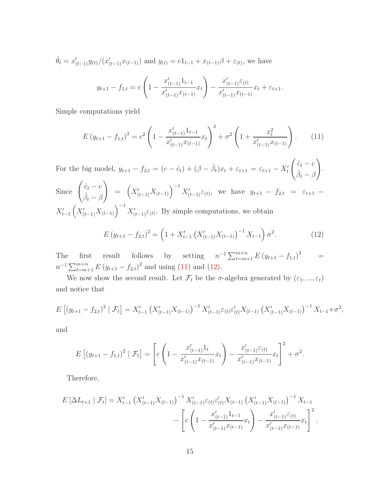$$
\hat{\theta}_t = x'_{(t-1)} y_{(t)} / (x'_{(t-1)} x_{(t-1)}) \text{ and } y_{(t)} = c1_{t-1} + x_{(t-1)}\beta + \varepsilon_{(t)}, \text{ we have}
$$
\n
$$
y_{t+1} - f_{1,t} = c \left( 1 - \frac{x'_{(t-1)} 1_{t-1}}{x'_{(t-1)} x_{(t-1)}} x_t \right) - \frac{x'_{(t-1)} \varepsilon_{(t)}}{x'_{(t-1)} x_{(t-1)}} x_t + \varepsilon_{t+1}.
$$

Simple computations yield

<span id="page-14-0"></span>
$$
E(y_{t+1} - f_{1,t})^2 = c^2 \left( 1 - \frac{x_{(t-1)}'1_{t-1}}{x_{(t-1)}'x_{(t-1)}}x_t \right)^2 + \sigma^2 \left( 1 + \frac{x_t^2}{x_{(t-1)}'x_{(t-1)}} \right). \tag{11}
$$

For the big model,  $y_{t+1} - f_{2,t} = (c - \hat{c}_t) + (\beta - \hat{\beta}_t)x_t + \varepsilon_{t+1} = \varepsilon_{t+1} - X'_t$  $\int \hat{c}_t - c$  $\hat{\beta}_t - \beta$  $\setminus$ .  $\sqrt{1-\lambda}$ 

Since 
$$
\begin{pmatrix} \hat{c}_t - c \\ \hat{\beta}_t - \beta \end{pmatrix} = (X'_{(t-1)} X_{(t-1)})^{-1} X'_{(t-1) \varepsilon(t)},
$$
 we have  $y_{t+1} - f_{2,t} = \varepsilon_{t+1} - X'_{t-1} (X'_{(t-1)} X_{(t-1)})^{-1} X'_{(t-1) \varepsilon(t)}.$  By simple computations, we obtain

<span id="page-14-1"></span>
$$
E(y_{t+1} - f_{2,t})^2 = \left(1 + X'_{t-1} \left(X'_{(t-1)}X_{(t-1)}\right)^{-1} X_{t-1}\right) \sigma^2.
$$
 (12)

The first result follows by setting  $n^{-1} \sum_{t=m+1}^{m+n} E(y_{t+1} - f_{1,t})$  $\alpha =$  $n^{-1} \sum_{t=m+1}^{m+n} E (y_{t+1} - f_{2,t})^2$  and using [\(11\)](#page-14-0) and [\(12\)](#page-14-1).

We now show the second result. Let  $\mathcal{F}_t$  be the  $\sigma$ -algebra generated by  $(\varepsilon_1, ..., \varepsilon_t)$ and notice that

$$
E\left[\left(y_{t+1}-f_{2,t}\right)^2 \mid \mathcal{F}_t\right] = X'_{t-1} \left(X'_{(t-1)} X_{(t-1)}\right)^{-1} X'_{(t-1)} \varepsilon_{(t)} \varepsilon'_{(t)} X_{(t-1)} \left(X'_{(t-1)} X_{(t-1)}\right)^{-1} X_{t-1} + \sigma^2,
$$

and

$$
E\left[\left(y_{t+1}-f_{1,t}\right)^2 \mid \mathcal{F}_t\right] = \left[c\left(1-\frac{x'_{(t-1)}1_t}{x'_{(t-1)}x_{(t-1)}}x_t\right) - \frac{x'_{(t-1)}\varepsilon_{(t)}}{x'_{(t-1)}x_{(t-1)}}x_t\right]^2 + \sigma^2.
$$

Therefore,

$$
E\left[\Delta L_{t+1} \mid \mathcal{F}_{t}\right] = X'_{t-1} \left(X'_{(t-1)} X_{(t-1)}\right)^{-1} X'_{(t-1)} \varepsilon_{(t)} \varepsilon'_{(t)} X_{(t-1)} \left(X'_{(t-1)} X_{(t-1)}\right)^{-1} X_{t-1} - \left[c\left(1 - \frac{x'_{(t-1)} 1_{t-1}}{x'_{(t-1)} x_{(t-1)}} x_t\right) - \frac{x'_{(t-1)} \varepsilon_{(t)}}{x'_{(t-1)} x_{(t-1)}} x_t\right]^2.
$$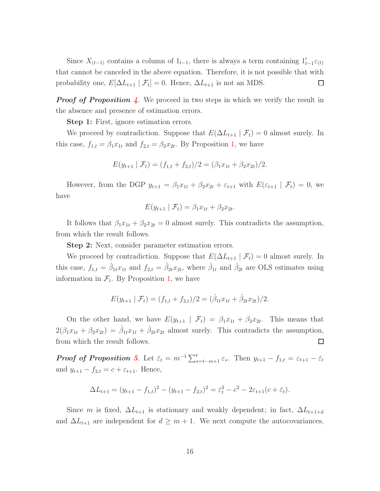Since  $X_{(t-1)}$  contains a column of  $1_{t-1}$ , there is always a term containing  $1'_{t-1}\varepsilon_{(t)}$ that cannot be canceled in the above equation. Therefore, it is not possible that with probability one,  $E[\Delta L_{t+1} | \mathcal{F}_t] = 0$ . Hence,  $\Delta L_{t+1}$  is not an MDS.  $\Box$ 

**Proof of Proposition [4](#page-6-1).** We proceed in two steps in which we verify the result in the absence and presence of estimation errors.

Step 1: First, ignore estimation errors.

We proceed by contradiction. Suppose that  $E(\Delta L_{t+1} | \mathcal{F}_t) = 0$  almost surely. In this case,  $f_{1,t} = \beta_1 x_{1t}$  $f_{1,t} = \beta_1 x_{1t}$  $f_{1,t} = \beta_1 x_{1t}$  and  $f_{2,t} = \beta_2 x_{2t}$ . By Proposition 1, we have

$$
E(y_{t+1} | \mathcal{F}_t) = (f_{1,t} + f_{2,t})/2 = (\beta_1 x_{1t} + \beta_2 x_{2t})/2.
$$

However, from the DGP  $y_{t+1} = \beta_1 x_{1t} + \beta_2 x_{2t} + \varepsilon_{t+1}$  with  $E(\varepsilon_{t+1} | \mathcal{F}_t) = 0$ , we have

$$
E(y_{t+1} | \mathcal{F}_t) = \beta_1 x_{1t} + \beta_2 x_{2t}.
$$

It follows that  $\beta_1 x_{1t} + \beta_2 x_{2t} = 0$  almost surely. This contradicts the assumption, from which the result follows.

Step 2: Next, consider parameter estimation errors.

We proceed by contradiction. Suppose that  $E(\Delta L_{t+1} | \mathcal{F}_t) = 0$  almost surely. In this case,  $f_{1,t} = \hat{\beta}_{1t} x_{1t}$  and  $f_{2,t} = \hat{\beta}_{2t} x_{2t}$ , where  $\hat{\beta}_{1t}$  and  $\hat{\beta}_{2t}$  are OLS estimates using information in  $\mathcal{F}_t$ . By Proposition [1,](#page-4-0) we have

$$
E(y_{t+1} | \mathcal{F}_t) = (f_{1,t} + f_{2,t})/2 = (\hat{\beta}_{1t} x_{1t} + \hat{\beta}_{2t} x_{2t})/2.
$$

On the other hand, we have  $E(y_{t+1} | \mathcal{F}_t) = \beta_1 x_{1t} + \beta_2 x_{2t}$ . This means that  $2(\beta_1x_{1t} + \beta_2x_{2t}) = \hat{\beta}_{1t}x_{1t} + \hat{\beta}_{2t}x_{2t}$  almost surely. This contradicts the assumption, from which the result follows.  $\Box$ 

**Proof of Proposition [5](#page-7-2).** Let  $\bar{\varepsilon}_t = m^{-1} \sum_{s=t-m+1}^t \varepsilon_s$ . Then  $y_{t+1} - f_{1,t} = \varepsilon_{t+1} - \bar{\varepsilon}_t$ and  $y_{t+1} - f_{2,t} = c + \varepsilon_{t+1}$ . Hence,

$$
\Delta L_{t+1} = (y_{t+1} - f_{1,t})^2 - (y_{t+1} - f_{2,t})^2 = \bar{\varepsilon}_t^2 - c^2 - 2\varepsilon_{t+1}(c + \bar{\varepsilon}_t).
$$

Since m is fixed,  $\Delta L_{t+1}$  is stationary and weakly dependent; in fact,  $\Delta L_{t+1+d}$ and  $\Delta L_{t+1}$  are independent for  $d \geq m+1$ . We next compute the autocovariances,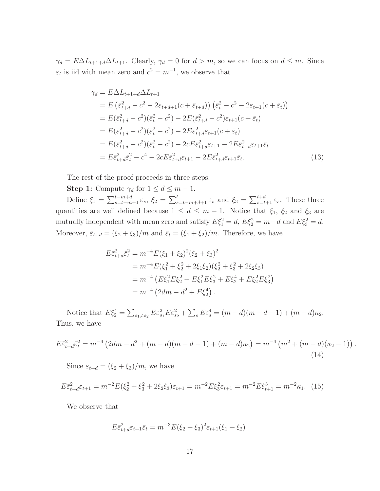$\gamma_d = E \Delta L_{t+1+d} \Delta L_{t+1}$ . Clearly,  $\gamma_d = 0$  for  $d > m$ , so we can focus on  $d \leq m$ . Since  $\varepsilon_t$  is iid with mean zero and  $c^2 = m^{-1}$ , we observe that

$$
\gamma_d = E \Delta L_{t+1+d} \Delta L_{t+1}
$$
  
\n
$$
= E \left( \bar{\varepsilon}_{t+d}^2 - c^2 - 2\varepsilon_{t+d+1}(c + \bar{\varepsilon}_{t+d}) \right) \left( \bar{\varepsilon}_t^2 - c^2 - 2\varepsilon_{t+1}(c + \bar{\varepsilon}_t) \right)
$$
  
\n
$$
= E(\bar{\varepsilon}_{t+d}^2 - c^2)(\bar{\varepsilon}_t^2 - c^2) - 2E(\bar{\varepsilon}_{t+d}^2 - c^2)\varepsilon_{t+1}(c + \bar{\varepsilon}_t)
$$
  
\n
$$
= E(\bar{\varepsilon}_{t+d}^2 - c^2)(\bar{\varepsilon}_t^2 - c^2) - 2E\bar{\varepsilon}_{t+d}^2\varepsilon_{t+1}(c + \bar{\varepsilon}_t)
$$
  
\n
$$
= E(\bar{\varepsilon}_{t+d}^2 - c^2)(\bar{\varepsilon}_t^2 - c^2) - 2cE\bar{\varepsilon}_{t+d}^2\varepsilon_{t+1} - 2E\bar{\varepsilon}_{t+d}^2\varepsilon_{t+1}\bar{\varepsilon}_t
$$
  
\n
$$
= E\bar{\varepsilon}_{t+d}^2\bar{\varepsilon}_t^2 - c^4 - 2cE\bar{\varepsilon}_{t+d}^2\varepsilon_{t+1} - 2E\bar{\varepsilon}_{t+d}^2\varepsilon_{t+1}\bar{\varepsilon}_t.
$$
\n(13)

The rest of the proof proceeds in three steps.

**Step 1:** Compute  $\gamma_d$  for  $1 \leq d \leq m-1$ .

Define  $\xi_1 = \sum_{s=t-m+1}^{t-m+d} \varepsilon_s$ ,  $\xi_2 = \sum_{s=t-m+d+1}^{t} \varepsilon_s$  and  $\xi_3 = \sum_{s=t+1}^{t+d} \varepsilon_s$ . These three quantities are well defined because  $1 \leq d \leq m-1$ . Notice that  $\xi_1$ ,  $\xi_2$  and  $\xi_3$  are mutually independent with mean zero and satisfy  $E\xi_1^2 = d$ ,  $E\xi_2^2 = m-d$  and  $E\xi_3^2 = d$ . Moreover,  $\bar{\varepsilon}_{t+d} = (\xi_2 + \xi_3)/m$  and  $\bar{\varepsilon}_t = (\xi_1 + \xi_2)/m$ . Therefore, we have

$$
E\bar{\varepsilon}_{t+d}^2 \bar{\varepsilon}_t^2 = m^{-4} E(\xi_1 + \xi_2)^2 (\xi_2 + \xi_3)^2
$$
  
=  $m^{-4} E(\xi_1^2 + \xi_2^2 + 2\xi_1\xi_2)(\xi_2^2 + \xi_3^2 + 2\xi_2\xi_3)$   
=  $m^{-4} (E\xi_1^2 E\xi_2^2 + E\xi_1^2 E\xi_3^2 + E\xi_2^4 + E\xi_2^2 E\xi_3^2)$   
=  $m^{-4} (2dm - d^2 + E\xi_2^4)$ .

Notice that  $E\xi_2^4 = \sum_{s_1 \neq s_2} E \varepsilon_{s_1}^2 E \varepsilon_{s_2}^2 + \sum_s E \varepsilon_s^4 = (m - d)(m - d - 1) + (m - d)\kappa_2$ . Thus, we have

<span id="page-16-1"></span>
$$
E\bar{\varepsilon}_{t+d}^2\bar{\varepsilon}_t^2 = m^{-4} \left( 2dm - d^2 + (m-d)(m-d-1) + (m-d)\kappa_2 \right) = m^{-4} \left( m^2 + (m-d)(\kappa_2 - 1) \right)
$$
\n(14)

<span id="page-16-0"></span>.

Since  $\bar{\varepsilon}_{t+d} = (\xi_2 + \xi_3)/m$ , we have

<span id="page-16-2"></span>
$$
E\bar{\varepsilon}_{t+d}^2\varepsilon_{t+1} = m^{-2}E(\xi_2^2 + \xi_3^2 + 2\xi_2\xi_3)\varepsilon_{t+1} = m^{-2}E\xi_3^2\varepsilon_{t+1} = m^{-2}E\xi_{t+1}^3 = m^{-2}\kappa_1.
$$
 (15)

We observe that

$$
E\bar{\varepsilon}_{t+d}^2\varepsilon_{t+1}\bar{\varepsilon}_t = m^{-3}E(\xi_2 + \xi_3)^2\varepsilon_{t+1}(\xi_1 + \xi_2)
$$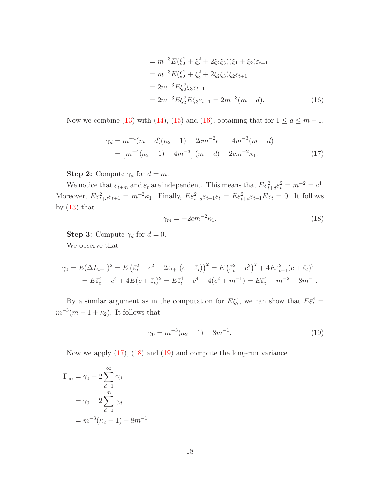<span id="page-17-0"></span>
$$
= m^{-3} E(\xi_2^2 + \xi_3^2 + 2\xi_2 \xi_3)(\xi_1 + \xi_2)\varepsilon_{t+1}
$$
  
\n
$$
= m^{-3} E(\xi_2^2 + \xi_3^2 + 2\xi_2 \xi_3)\xi_2 \varepsilon_{t+1}
$$
  
\n
$$
= 2m^{-3} E\xi_2^2 \xi_3 \varepsilon_{t+1}
$$
  
\n
$$
= 2m^{-3} E\xi_2^2 E\xi_3 \varepsilon_{t+1} = 2m^{-3}(m - d).
$$
 (16)

Now we combine [\(13\)](#page-16-0) with [\(14\)](#page-16-1), [\(15\)](#page-16-2) and [\(16\)](#page-17-0), obtaining that for  $1 \le d \le m-1$ ,

$$
\gamma_d = m^{-4}(m - d)(\kappa_2 - 1) - 2cm^{-2}\kappa_1 - 4m^{-3}(m - d)
$$
  
=  $[m^{-4}(\kappa_2 - 1) - 4m^{-3}] (m - d) - 2cm^{-2}\kappa_1.$  (17)

**Step 2:** Compute  $\gamma_d$  for  $d = m$ .

We notice that  $\bar{\varepsilon}_{t+m}$  and  $\bar{\varepsilon}_t$  are independent. This means that  $E\bar{\varepsilon}_{t+d}^2\bar{\varepsilon}_t^2 = m^{-2} = c^4$ . Moreover,  $E\bar{\varepsilon}_{t+d}^2\varepsilon_{t+1} = m^{-2}\kappa_1$ . Finally,  $E\bar{\varepsilon}_{t+d}^2\varepsilon_{t+1}\bar{\varepsilon}_t = E\bar{\varepsilon}_{t+d}^2\varepsilon_{t+1}E\bar{\varepsilon}_t = 0$ . It follows by  $(13)$  that

<span id="page-17-2"></span><span id="page-17-1"></span>
$$
\gamma_m = -2cm^{-2}\kappa_1. \tag{18}
$$

**Step 3:** Compute  $\gamma_d$  for  $d = 0$ . We observe that

$$
\gamma_0 = E(\Delta L_{t+1})^2 = E(\bar{\varepsilon}_t^2 - c^2 - 2\varepsilon_{t+1}(c + \bar{\varepsilon}_t))^2 = E(\bar{\varepsilon}_t^2 - c^2)^2 + 4E\varepsilon_{t+1}^2(c + \bar{\varepsilon}_t)^2
$$
  
=  $E\bar{\varepsilon}_t^4 - c^4 + 4E(c + \bar{\varepsilon}_t)^2 = E\bar{\varepsilon}_t^4 - c^4 + 4(c^2 + m^{-1}) = E\bar{\varepsilon}_t^4 - m^{-2} + 8m^{-1}.$ 

By a similar argument as in the computation for  $E\xi_2^4$ , we can show that  $E\bar{\varepsilon}_t^4$  =  $m^{-3}(m-1+\kappa_2)$ . It follows that

<span id="page-17-3"></span>
$$
\gamma_0 = m^{-3}(\kappa_2 - 1) + 8m^{-1}.\tag{19}
$$

Now we apply [\(17\)](#page-17-1), [\(18\)](#page-17-2) and [\(19\)](#page-17-3) and compute the long-run variance

$$
\Gamma_{\infty} = \gamma_0 + 2 \sum_{d=1}^{\infty} \gamma_d
$$

$$
= \gamma_0 + 2 \sum_{d=1}^{m} \gamma_d
$$

$$
= m^{-3} (\kappa_2 - 1) + 8m^{-1}
$$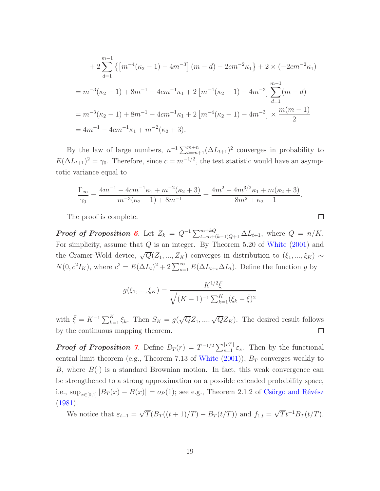$$
+ 2\sum_{d=1}^{m-1} \left\{ \left[ m^{-4}(\kappa_2 - 1) - 4m^{-3} \right] (m - d) - 2cm^{-2}\kappa_1 \right\} + 2 \times (-2cm^{-2}\kappa_1)
$$
  
=  $m^{-3}(\kappa_2 - 1) + 8m^{-1} - 4cm^{-1}\kappa_1 + 2 \left[ m^{-4}(\kappa_2 - 1) - 4m^{-3} \right] \sum_{d=1}^{m-1} (m - d)$   
=  $m^{-3}(\kappa_2 - 1) + 8m^{-1} - 4cm^{-1}\kappa_1 + 2 \left[ m^{-4}(\kappa_2 - 1) - 4m^{-3} \right] \times \frac{m(m - 1)}{2}$   
=  $4m^{-1} - 4cm^{-1}\kappa_1 + m^{-2}(\kappa_2 + 3).$ 

By the law of large numbers,  $n^{-1} \sum_{t=m+1}^{m+n} (\Delta L_{t+1})^2$  converges in probability to  $E(\Delta L_{t+1})^2 = \gamma_0$ . Therefore, since  $c = m^{-1/2}$ , the test statistic would have an asymptotic variance equal to

$$
\frac{\Gamma_{\infty}}{\gamma_0} = \frac{4m^{-1} - 4cm^{-1}\kappa_1 + m^{-2}(\kappa_2 + 3)}{m^{-3}(\kappa_2 - 1) + 8m^{-1}} = \frac{4m^2 - 4m^{3/2}\kappa_1 + m(\kappa_2 + 3)}{8m^2 + \kappa_2 - 1}.
$$

 $\Box$ 

The proof is complete.

**Proof of Proposition [6](#page-8-2).** Let  $Z_k = Q^{-1} \sum_{t=m+(k-1)Q+1}^{m+kQ} \Delta L_{t+1}$ , where  $Q = n/K$ . For simplicity, assume that  $Q$  is an integer. By Theorem 5.20 of [White](#page-21-10)  $(2001)$  $(2001)$  and the Cramer-Wold device,  $\sqrt{Q}(Z_1, ..., Z_K)$  converges in distribution to  $(\xi_1, ..., \xi_K) \sim$  $N(0, c^2 I_K)$ , where  $c^2 = E(\Delta L_t)^2 + 2 \sum_{s=1}^{\infty} E(\Delta L_{t+s} \Delta L_t)$ . Define the function g by

$$
g(\xi_1, ..., \xi_K) = \frac{K^{1/2}\bar{\xi}}{\sqrt{(K-1)^{-1}\sum_{k=1}^K(\xi_k - \bar{\xi})^2}}
$$

with  $\bar{\xi} = K^{-1} \sum_{k=1}^{K} \xi_k$ . Then  $S_K = g(\sqrt{Q}Z_1, ..., \sqrt{Q}Z_K)$ . The desired result follows  $\Box$ by the continuous mapping theorem.

**Proof of Proposition [7](#page-11-2).** Define  $B_T(r) = T^{-1/2} \sum_{s=1}^{\lfloor rT \rfloor} \varepsilon_s$ . Then by the functional central limit theorem (e.g., Theorem 7.13 of [White](#page-21-10)  $(2001)$  $(2001)$ ),  $B_T$  converges weakly to B, where  $B(\cdot)$  is a standard Brownian motion. In fact, this weak convergence can be strengthened to a strong approximation on a possible extended probability space, i.e., sup<sub> $x \in [0,1]$ </sub>  $|B_T(x) - B(x)| = o_P(1)$ ; see e.g., Theorem 2.1.2 of [Csörgo and Révész](#page-20-3) [\(1981\)](#page-20-3).

We notice that  $\varepsilon_{t+1} = \sqrt{T}(B_T((t+1)/T) - B_T(t/T))$  and  $f_{1,t} = \sqrt{T}t^{-1}B_T(t/T)$ .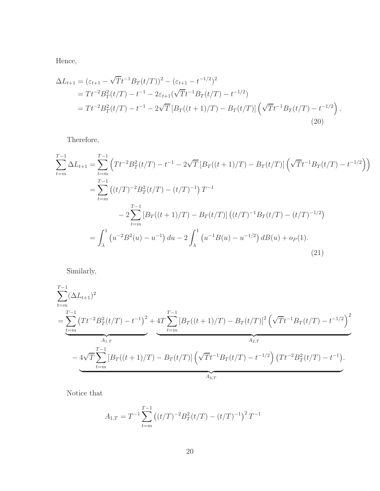Hence,

$$
\Delta L_{t+1} = (\varepsilon_{t+1} - \sqrt{T}t^{-1}B_T(t/T))^2 - (\varepsilon_{t+1} - t^{-1/2})^2
$$
  
=  $Tt^{-2}B_T^2(t/T) - t^{-1} - 2\varepsilon_{t+1}(\sqrt{T}t^{-1}B_T(t/T) - t^{-1/2})$   
=  $Tt^{-2}B_T^2(t/T) - t^{-1} - 2\sqrt{T}[B_T((t+1)/T) - B_T(t/T)](\sqrt{T}t^{-1}B_T(t/T) - t^{-1/2}).$  (20)

Therefore,

$$
\sum_{t=m}^{T-1} \Delta L_{t+1} = \sum_{t=m}^{T-1} \left( T t^{-2} B_T^2(t/T) - t^{-1} - 2\sqrt{T} \left[ B_T((t+1)/T) - B_T(t/T) \right] \left( \sqrt{T} t^{-1} B_T(t/T) - t^{-1/2} \right) \right)
$$
  
\n
$$
= \sum_{t=m}^{T-1} \left( (t/T)^{-2} B_T^2(t/T) - (t/T)^{-1} \right) T^{-1}
$$
  
\n
$$
- 2 \sum_{t=m}^{T-1} \left[ B_T((t+1)/T) - B_T(t/T) \right] \left( (t/T)^{-1} B_T(t/T) - (t/T)^{-1/2} \right)
$$
  
\n
$$
= \int_{\lambda}^1 \left( u^{-2} B^2(u) - u^{-1} \right) du - 2 \int_{\lambda}^1 \left( u^{-1} B(u) - u^{-1/2} \right) dB(u) + o_P(1).
$$
\n(21)

<span id="page-19-0"></span>Similarly,

$$
\sum_{t=m}^{T-1} (\Delta L_{t+1})^2
$$
\n
$$
= \underbrace{\sum_{t=m}^{T-1} (T t^{-2} B_T^2(t/T) - t^{-1})^2 + 4T \sum_{t=m}^{T-1} [B_T((t+1)/T) - B_T(t/T)]^2 (\sqrt{T} t^{-1} B_T(t/T) - t^{-1/2})^2}_{A_{2,T}}
$$
\n
$$
- 4\sqrt{T} \sum_{t=m}^{T-1} [B_T((t+1)/T) - B_T(t/T)] (\sqrt{T} t^{-1} B_T(t/T) - t^{-1/2}) (T t^{-2} B_T^2(t/T) - t^{-1}).
$$

Notice that

$$
A_{1,T} = T^{-1} \sum_{t=m}^{T-1} \left( (t/T)^{-2} B_T^2(t/T) - (t/T)^{-1} \right)^2 T^{-1}
$$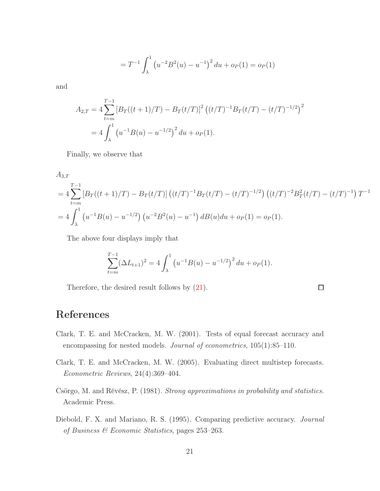$$
= T^{-1} \int_{\lambda}^{1} \left( u^{-2} B^2(u) - u^{-1} \right)^2 du + o_P(1) = o_P(1)
$$

and

$$
A_{2,T} = 4 \sum_{t=m}^{T-1} \left[ B_T((t+1)/T) - B_T(t/T) \right]^2 \left( (t/T)^{-1} B_T(t/T) - (t/T)^{-1/2} \right)^2
$$
  
= 
$$
4 \int_{\lambda}^{1} \left( u^{-1} B(u) - u^{-1/2} \right)^2 du + o_P(1).
$$

Finally, we observe that

$$
A_{3,T}
$$
  
=  $4 \sum_{t=m}^{T-1} \left[ B_T((t+1)/T) - B_T(t/T) \right] ((t/T)^{-1} B_T(t/T) - (t/T)^{-1/2}) ((t/T)^{-2} B_T^2(t/T) - (t/T)^{-1}) T^{-1}$   
=  $4 \int_{\lambda}^{1} (u^{-1} B(u) - u^{-1/2}) (u^{-2} B^2(u) - u^{-1}) dB(u) du + o_P(1) = o_P(1).$ 

The above four displays imply that

$$
\sum_{t=m}^{T-1} (\Delta L_{t+1})^2 = 4 \int_{\lambda}^1 \left( u^{-1} B(u) - u^{-1/2} \right)^2 du + o_P(1).
$$

Therefore, the desired result follows by [\(21\)](#page-19-0).

 $\Box$ 

## References

- <span id="page-20-0"></span>Clark, T. E. and McCracken, M. W. (2001). Tests of equal forecast accuracy and encompassing for nested models. Journal of econometrics, 105(1):85–110.
- <span id="page-20-1"></span>Clark, T. E. and McCracken, M. W. (2005). Evaluating direct multistep forecasts. Econometric Reviews, 24(4):369–404.
- <span id="page-20-3"></span>Csörgo, M. and Révész, P. (1981). Strong approximations in probability and statistics. Academic Press.
- <span id="page-20-2"></span>Diebold, F. X. and Mariano, R. S. (1995). Comparing predictive accuracy. Journal of Business & Economic Statistics, pages 253–263.